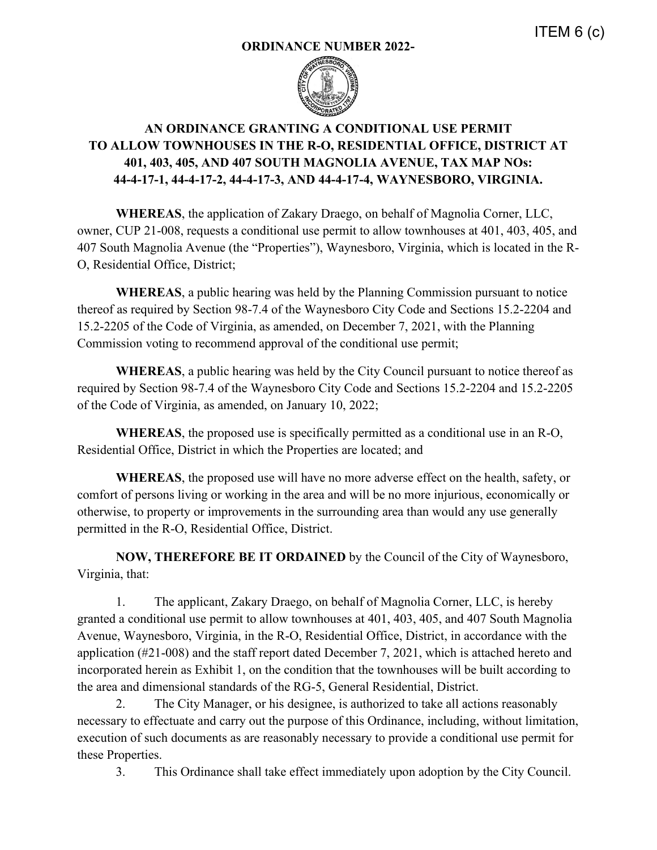## **ORDINANCE NUMBER 2022-**



## **AN ORDINANCE GRANTING A CONDITIONAL USE PERMIT TO ALLOW TOWNHOUSES IN THE R-O, RESIDENTIAL OFFICE, DISTRICT AT 401, 403, 405, AND 407 SOUTH MAGNOLIA AVENUE, TAX MAP NOs: 44-4-17-1, 44-4-17-2, 44-4-17-3, AND 44-4-17-4, WAYNESBORO, VIRGINIA.**

**WHEREAS**, the application of Zakary Draego, on behalf of Magnolia Corner, LLC, owner, CUP 21-008, requests a conditional use permit to allow townhouses at 401, 403, 405, and 407 South Magnolia Avenue (the "Properties"), Waynesboro, Virginia, which is located in the R-O, Residential Office, District;

**WHEREAS**, a public hearing was held by the Planning Commission pursuant to notice thereof as required by Section 98-7.4 of the Waynesboro City Code and Sections 15.2-2204 and 15.2-2205 of the Code of Virginia, as amended, on December 7, 2021, with the Planning Commission voting to recommend approval of the conditional use permit;

**WHEREAS**, a public hearing was held by the City Council pursuant to notice thereof as required by Section 98-7.4 of the Waynesboro City Code and Sections 15.2-2204 and 15.2-2205 of the Code of Virginia, as amended, on January 10, 2022;

**WHEREAS**, the proposed use is specifically permitted as a conditional use in an R-O, Residential Office, District in which the Properties are located; and

**WHEREAS**, the proposed use will have no more adverse effect on the health, safety, or comfort of persons living or working in the area and will be no more injurious, economically or otherwise, to property or improvements in the surrounding area than would any use generally permitted in the R-O, Residential Office, District.

**NOW, THEREFORE BE IT ORDAINED** by the Council of the City of Waynesboro, Virginia, that:

1. The applicant, Zakary Draego, on behalf of Magnolia Corner, LLC, is hereby granted a conditional use permit to allow townhouses at 401, 403, 405, and 407 South Magnolia Avenue, Waynesboro, Virginia, in the R-O, Residential Office, District, in accordance with the application (#21-008) and the staff report dated December 7, 2021, which is attached hereto and incorporated herein as Exhibit 1, on the condition that the townhouses will be built according to the area and dimensional standards of the RG-5, General Residential, District.

2. The City Manager, or his designee, is authorized to take all actions reasonably necessary to effectuate and carry out the purpose of this Ordinance, including, without limitation, execution of such documents as are reasonably necessary to provide a conditional use permit for these Properties.

3. This Ordinance shall take effect immediately upon adoption by the City Council.